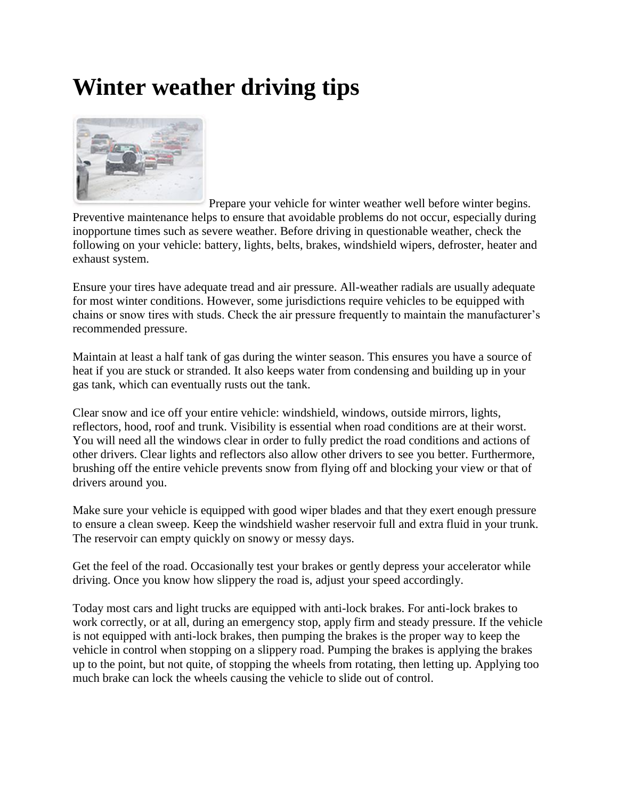## **Winter weather driving tips**



Prepare your vehicle for winter weather well before winter begins. Preventive maintenance helps to ensure that avoidable problems do not occur, especially during inopportune times such as severe weather. Before driving in questionable weather, check the following on your vehicle: battery, lights, belts, brakes, windshield wipers, defroster, heater and exhaust system.

Ensure your tires have adequate tread and air pressure. All-weather radials are usually adequate for most winter conditions. However, some jurisdictions require vehicles to be equipped with chains or snow tires with studs. Check the air pressure frequently to maintain the manufacturer's recommended pressure.

Maintain at least a half tank of gas during the winter season. This ensures you have a source of heat if you are stuck or stranded. It also keeps water from condensing and building up in your gas tank, which can eventually rusts out the tank.

Clear snow and ice off your entire vehicle: windshield, windows, outside mirrors, lights, reflectors, hood, roof and trunk. Visibility is essential when road conditions are at their worst. You will need all the windows clear in order to fully predict the road conditions and actions of other drivers. Clear lights and reflectors also allow other drivers to see you better. Furthermore, brushing off the entire vehicle prevents snow from flying off and blocking your view or that of drivers around you.

Make sure your vehicle is equipped with good wiper blades and that they exert enough pressure to ensure a clean sweep. Keep the windshield washer reservoir full and extra fluid in your trunk. The reservoir can empty quickly on snowy or messy days.

Get the feel of the road. Occasionally test your brakes or gently depress your accelerator while driving. Once you know how slippery the road is, adjust your speed accordingly.

Today most cars and light trucks are equipped with anti-lock brakes. For anti-lock brakes to work correctly, or at all, during an emergency stop, apply firm and steady pressure. If the vehicle is not equipped with anti-lock brakes, then pumping the brakes is the proper way to keep the vehicle in control when stopping on a slippery road. Pumping the brakes is applying the brakes up to the point, but not quite, of stopping the wheels from rotating, then letting up. Applying too much brake can lock the wheels causing the vehicle to slide out of control.